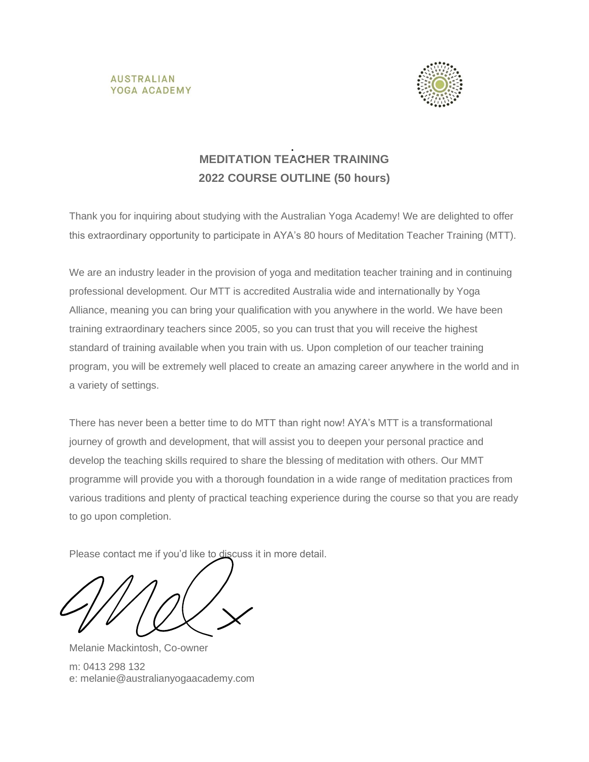



# **MEDITATION TEACHER TRAINING 2022 COURSE OUTLINE (50 hours)**

Thank you for inquiring about studying with the Australian Yoga Academy! We are delighted to offer this extraordinary opportunity to participate in AYA's 80 hours of Meditation Teacher Training (MTT).

We are an industry leader in the provision of yoga and meditation teacher training and in continuing professional development. Our MTT is accredited Australia wide and internationally by Yoga Alliance, meaning you can bring your qualification with you anywhere in the world. We have been training extraordinary teachers since 2005, so you can trust that you will receive the highest standard of training available when you train with us. Upon completion of our teacher training program, you will be extremely well placed to create an amazing career anywhere in the world and in a variety of settings.

There has never been a better time to do MTT than right now! AYA's MTT is a transformational journey of growth and development, that will assist you to deepen your personal practice and develop the teaching skills required to share the blessing of meditation with others. Our MMT programme will provide you with a thorough foundation in a wide range of meditation practices from various traditions and plenty of practical teaching experience during the course so that you are ready to go upon completion.

Please contact me if you'd like to discuss it in more detail.

Melanie Mackintosh, Co-owner m: 0413 298 132 e: [melanie@australianyogaacademy.com](mailto:melanie@australianyogaacademy.com)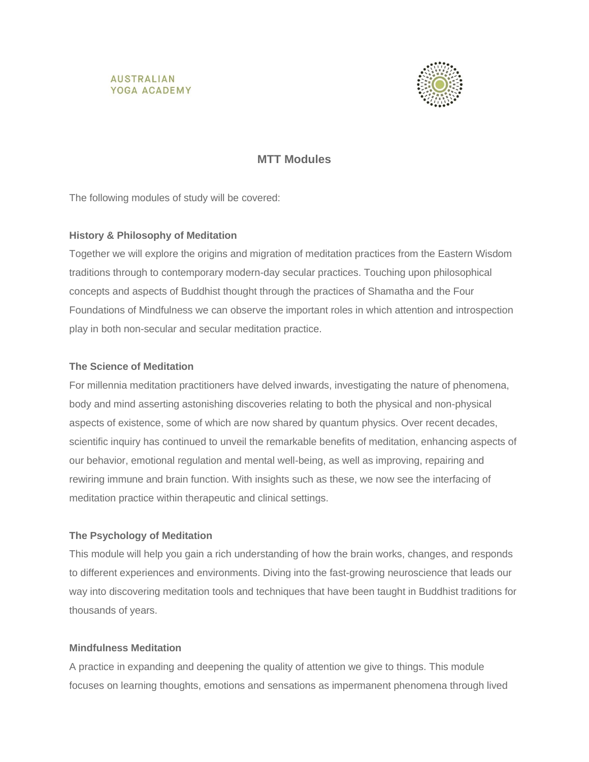



### **MTT Modules**

The following modules of study will be covered:

#### **History & Philosophy of Meditation**

Together we will explore the origins and migration of meditation practices from the Eastern Wisdom traditions through to contemporary modern-day secular practices. Touching upon philosophical concepts and aspects of Buddhist thought through the practices of Shamatha and the Four Foundations of Mindfulness we can observe the important roles in which attention and introspection play in both non-secular and secular meditation practice.

#### **The Science of Meditation**

For millennia meditation practitioners have delved inwards, investigating the nature of phenomena, body and mind asserting astonishing discoveries relating to both the physical and non-physical aspects of existence, some of which are now shared by quantum physics. Over recent decades, scientific inquiry has continued to unveil the remarkable benefits of meditation, enhancing aspects of our behavior, emotional regulation and mental well-being, as well as improving, repairing and rewiring immune and brain function. With insights such as these, we now see the interfacing of meditation practice within therapeutic and clinical settings.

### **The Psychology of Meditation**

This module will help you gain a rich understanding of how the brain works, changes, and responds to different experiences and environments. Diving into the fast-growing neuroscience that leads our way into discovering meditation tools and techniques that have been taught in Buddhist traditions for thousands of years.

#### **Mindfulness Meditation**

A practice in expanding and deepening the quality of attention we give to things. This module focuses on learning thoughts, emotions and sensations as impermanent phenomena through lived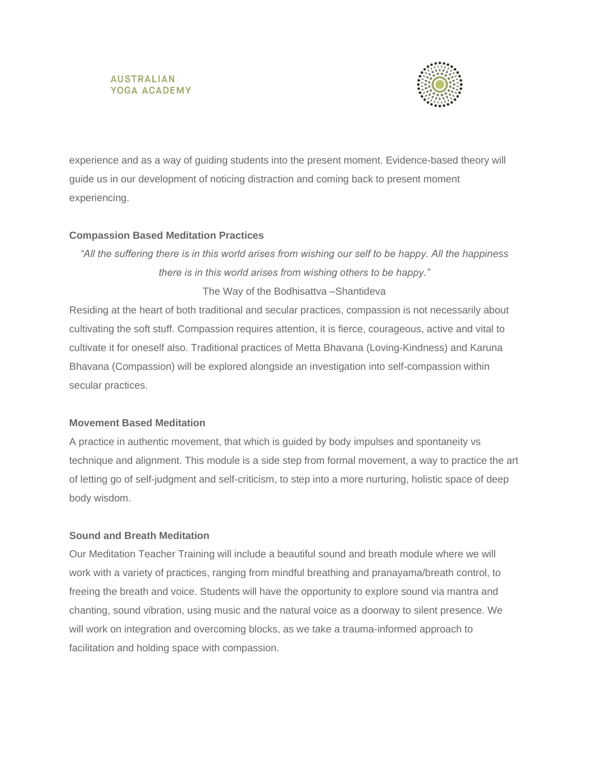#### **AUSTRALIAN** YOGA ACADEMY



experience and as a way of guiding students into the present moment. Evidence-based theory will guide us in our development of noticing distraction and coming back to present moment experiencing.

#### **Compassion Based Meditation Practices**

*"All the suffering there is in this world arises from wishing our self to be happy. All the happiness there is in this world arises from wishing others to be happy."* The Way of the Bodhisattva –Shantideva

Residing at the heart of both traditional and secular practices, compassion is not necessarily about cultivating the soft stuff. Compassion requires attention, it is fierce, courageous, active and vital to cultivate it for oneself also. Traditional practices of Metta Bhavana (Loving-Kindness) and Karuna Bhavana (Compassion) will be explored alongside an investigation into self-compassion within secular practices.

#### **Movement Based Meditation**

A practice in authentic movement, that which is guided by body impulses and spontaneity vs technique and alignment. This module is a side step from formal movement, a way to practice the art of letting go of self-judgment and self-criticism, to step into a more nurturing, holistic space of deep body wisdom.

### **Sound and Breath Meditation**

Our Meditation Teacher Training will include a beautiful sound and breath module where we will work with a variety of practices, ranging from mindful breathing and pranayama/breath control, to freeing the breath and voice. Students will have the opportunity to explore sound via mantra and chanting, sound vibration, using music and the natural voice as a doorway to silent presence. We will work on integration and overcoming blocks, as we take a trauma-informed approach to facilitation and holding space with compassion.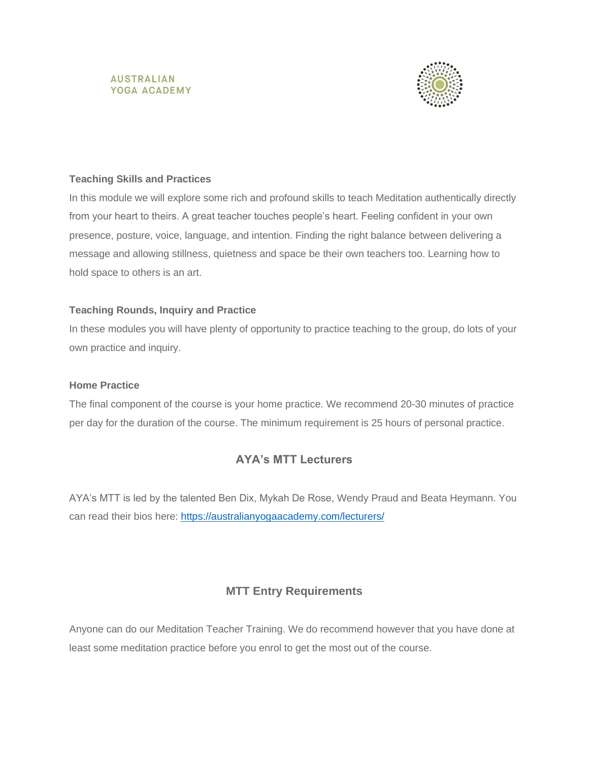



#### **Teaching Skills and Practices**

In this module we will explore some rich and profound skills to teach Meditation authentically directly from your heart to theirs. A great teacher touches people's heart. Feeling confident in your own presence, posture, voice, language, and intention. Finding the right balance between delivering a message and allowing stillness, quietness and space be their own teachers too. Learning how to hold space to others is an art.

### **Teaching Rounds, Inquiry and Practice**

In these modules you will have plenty of opportunity to practice teaching to the group, do lots of your own practice and inquiry.

#### **Home Practice**

The final component of the course is your home practice. We recommend 20-30 minutes of practice per day for the duration of the course. The minimum requirement is 25 hours of personal practice.

# **AYA's MTT Lecturers**

AYA's MTT is led by the talented Ben Dix, Mykah De Rose, Wendy Praud and Beata Heymann. You can read their bios here:<https://australianyogaacademy.com/lecturers/>

### **MTT Entry Requirements**

Anyone can do our Meditation Teacher Training. We do recommend however that you have done at least some meditation practice before you enrol to get the most out of the course.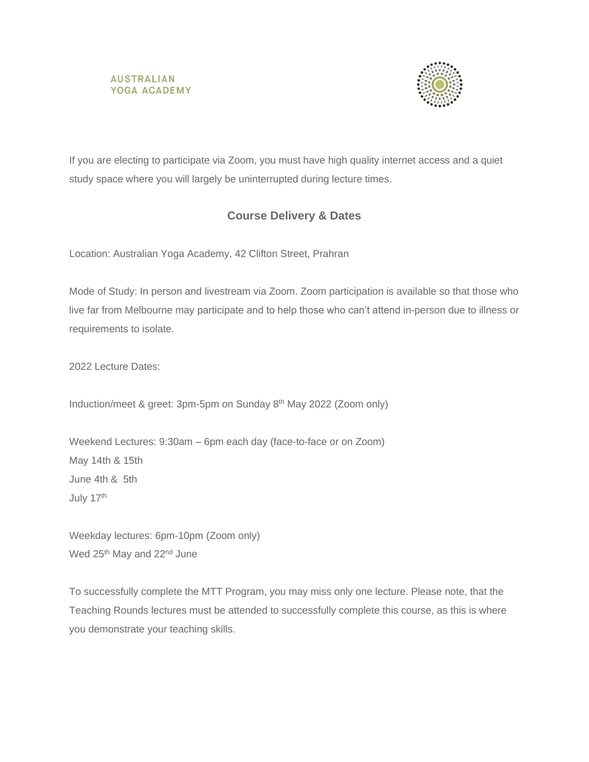#### **AUSTRALIAN** YOGA ACADEMY



If you are electing to participate via Zoom, you must have high quality internet access and a quiet study space where you will largely be uninterrupted during lecture times.

# **Course Delivery & Dates**

Location: Australian Yoga Academy, 42 Clifton Street, Prahran

Mode of Study: In person and livestream via Zoom. Zoom participation is available so that those who live far from Melbourne may participate and to help those who can't attend in-person due to illness or requirements to isolate.

2022 Lecture Dates:

Induction/meet & greet: 3pm-5pm on Sunday 8th May 2022 (Zoom only)

Weekend Lectures: 9:30am – 6pm each day (face-to-face or on Zoom) May 14th & 15th June 4th & 5th July 17th

Weekday lectures: 6pm-10pm (Zoom only) Wed 25<sup>th</sup> May and 22<sup>nd</sup> June

To successfully complete the MTT Program, you may miss only one lecture. Please note, that the Teaching Rounds lectures must be attended to successfully complete this course, as this is where you demonstrate your teaching skills.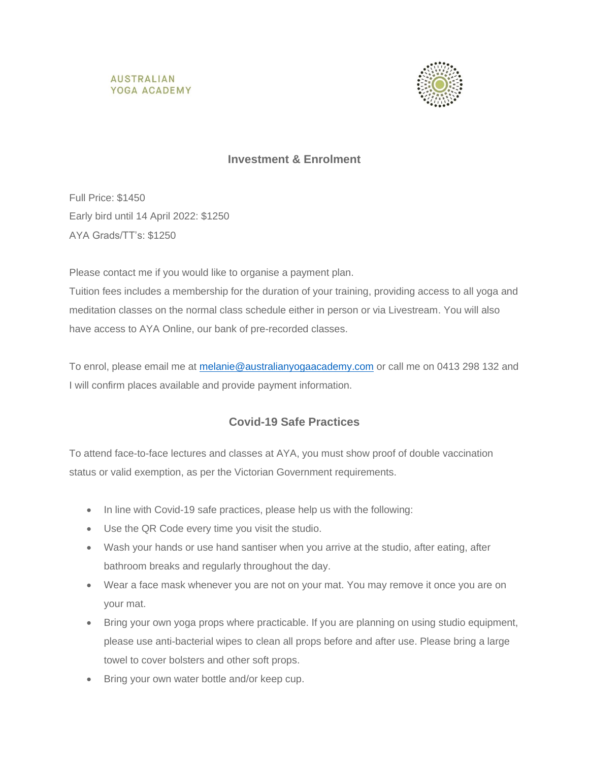



# **Investment & Enrolment**

Full Price: \$1450 Early bird until 14 April 2022: \$1250 AYA Grads/TT's: \$1250

Please contact me if you would like to organise a payment plan.

Tuition fees includes a membership for the duration of your training, providing access to all yoga and meditation classes on the normal class schedule either in person or via Livestream. You will also have access to AYA Online, our bank of pre-recorded classes.

To enrol, please email me at [melanie@australianyogaacademy.com](mailto:melanie@australianyogaacademy.com) or call me on 0413 298 132 and I will confirm places available and provide payment information.

# **Covid-19 Safe Practices**

To attend face-to-face lectures and classes at AYA, you must show proof of double vaccination status or valid exemption, as per the Victorian Government requirements.

- In line with Covid-19 safe practices, please help us with the following:
- Use the QR Code every time you visit the studio.
- Wash your hands or use hand santiser when you arrive at the studio, after eating, after bathroom breaks and regularly throughout the day.
- Wear a face mask whenever you are not on your mat. You may remove it once you are on your mat.
- Bring your own yoga props where practicable. If you are planning on using studio equipment, please use anti-bacterial wipes to clean all props before and after use. Please bring a large towel to cover bolsters and other soft props.
- Bring your own water bottle and/or keep cup.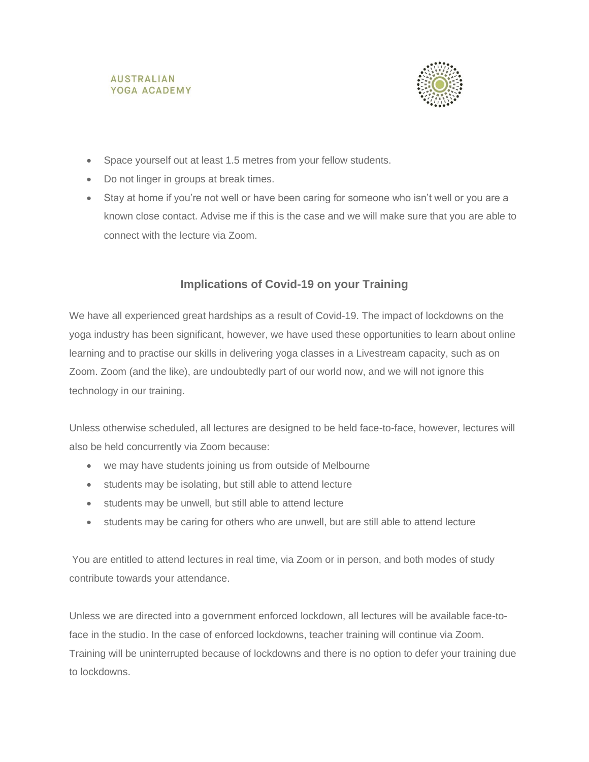



- Space yourself out at least 1.5 metres from your fellow students.
- Do not linger in groups at break times.
- Stay at home if you're not well or have been caring for someone who isn't well or you are a known close contact. Advise me if this is the case and we will make sure that you are able to connect with the lecture via Zoom.

### **Implications of Covid-19 on your Training**

We have all experienced great hardships as a result of Covid-19. The impact of lockdowns on the yoga industry has been significant, however, we have used these opportunities to learn about online learning and to practise our skills in delivering yoga classes in a Livestream capacity, such as on Zoom. Zoom (and the like), are undoubtedly part of our world now, and we will not ignore this technology in our training.

Unless otherwise scheduled, all lectures are designed to be held face-to-face, however, lectures will also be held concurrently via Zoom because:

- we may have students joining us from outside of Melbourne
- students may be isolating, but still able to attend lecture
- students may be unwell, but still able to attend lecture
- students may be caring for others who are unwell, but are still able to attend lecture

You are entitled to attend lectures in real time, via Zoom or in person, and both modes of study contribute towards your attendance.

Unless we are directed into a government enforced lockdown, all lectures will be available face-toface in the studio. In the case of enforced lockdowns, teacher training will continue via Zoom. Training will be uninterrupted because of lockdowns and there is no option to defer your training due to lockdowns.